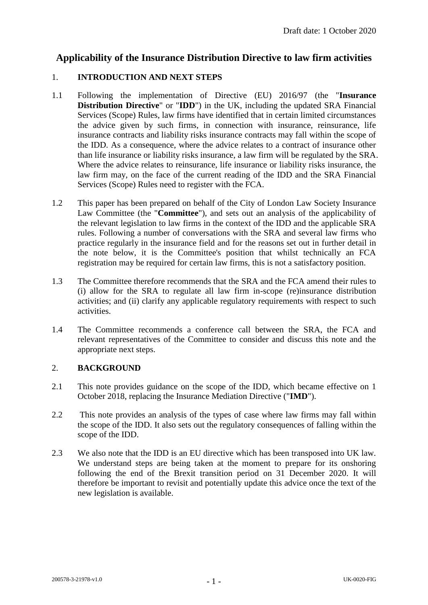# **Applicability of the Insurance Distribution Directive to law firm activities**

### 1. **INTRODUCTION AND NEXT STEPS**

- 1.1 Following the implementation of Directive (EU) 2016/97 (the "**Insurance Distribution Directive**" or "**IDD**") in the UK, including the updated SRA Financial Services (Scope) Rules, law firms have identified that in certain limited circumstances the advice given by such firms, in connection with insurance, reinsurance, life insurance contracts and liability risks insurance contracts may fall within the scope of the IDD. As a consequence, where the advice relates to a contract of insurance other than life insurance or liability risks insurance, a law firm will be regulated by the SRA. Where the advice relates to reinsurance, life insurance or liability risks insurance, the law firm may, on the face of the current reading of the IDD and the SRA Financial Services (Scope) Rules need to register with the FCA.
- 1.2 This paper has been prepared on behalf of the City of London Law Society Insurance Law Committee (the "**Committee**"), and sets out an analysis of the applicability of the relevant legislation to law firms in the context of the IDD and the applicable SRA rules. Following a number of conversations with the SRA and several law firms who practice regularly in the insurance field and for the reasons set out in further detail in the note below, it is the Committee's position that whilst technically an FCA registration may be required for certain law firms, this is not a satisfactory position.
- 1.3 The Committee therefore recommends that the SRA and the FCA amend their rules to (i) allow for the SRA to regulate all law firm in-scope (re)insurance distribution activities; and (ii) clarify any applicable regulatory requirements with respect to such activities.
- 1.4 The Committee recommends a conference call between the SRA, the FCA and relevant representatives of the Committee to consider and discuss this note and the appropriate next steps.

# 2. **BACKGROUND**

- 2.1 This note provides guidance on the scope of the IDD, which became effective on 1 October 2018, replacing the Insurance Mediation Directive ("**IMD**").
- 2.2 This note provides an analysis of the types of case where law firms may fall within the scope of the IDD. It also sets out the regulatory consequences of falling within the scope of the IDD.
- 2.3 We also note that the IDD is an EU directive which has been transposed into UK law. We understand steps are being taken at the moment to prepare for its onshoring following the end of the Brexit transition period on 31 December 2020. It will therefore be important to revisit and potentially update this advice once the text of the new legislation is available.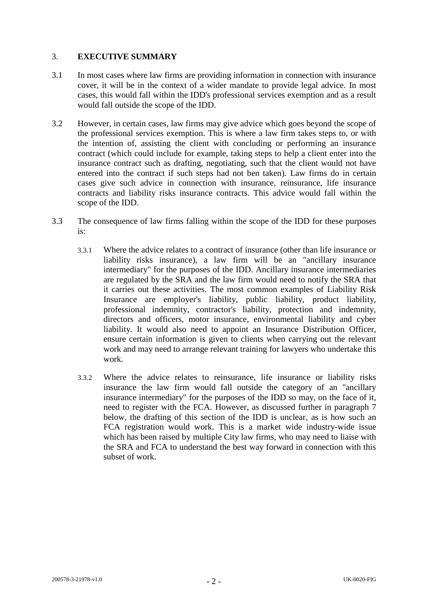### 3. **EXECUTIVE SUMMARY**

- 3.1 In most cases where law firms are providing information in connection with insurance cover, it will be in the context of a wider mandate to provide legal advice. In most cases, this would fall within the IDD's professional services exemption and as a result would fall outside the scope of the IDD.
- 3.2 However, in certain cases, law firms may give advice which goes beyond the scope of the professional services exemption. This is where a law firm takes steps to, or with the intention of, assisting the client with concluding or performing an insurance contract (which could include for example, taking steps to help a client enter into the insurance contract such as drafting, negotiating, such that the client would not have entered into the contract if such steps had not ben taken). Law firms do in certain cases give such advice in connection with insurance, reinsurance, life insurance contracts and liability risks insurance contracts. This advice would fall within the scope of the IDD.
- 3.3 The consequence of law firms falling within the scope of the IDD for these purposes is:
	- 3.3.1 Where the advice relates to a contract of insurance (other than life insurance or liability risks insurance), a law firm will be an "ancillary insurance intermediary" for the purposes of the IDD. Ancillary insurance intermediaries are regulated by the SRA and the law firm would need to notify the SRA that it carries out these activities. The most common examples of Liability Risk Insurance are employer's liability, public liability, product liability, professional indemnity, contractor's liability, protection and indemnity, directors and officers, motor insurance, environmental liability and cyber liability. It would also need to appoint an Insurance Distribution Officer, ensure certain information is given to clients when carrying out the relevant work and may need to arrange relevant training for lawyers who undertake this work.
	- 3.3.2 Where the advice relates to reinsurance, life insurance or liability risks insurance the law firm would fall outside the category of an "ancillary insurance intermediary" for the purposes of the IDD so may, on the face of it, need to register with the FCA. However, as discussed further in paragraph [7](#page-6-0) below, the drafting of this section of the IDD is unclear, as is how such an FCA registration would work. This is a market wide industry-wide issue which has been raised by multiple City law firms, who may need to liaise with the SRA and FCA to understand the best way forward in connection with this subset of work.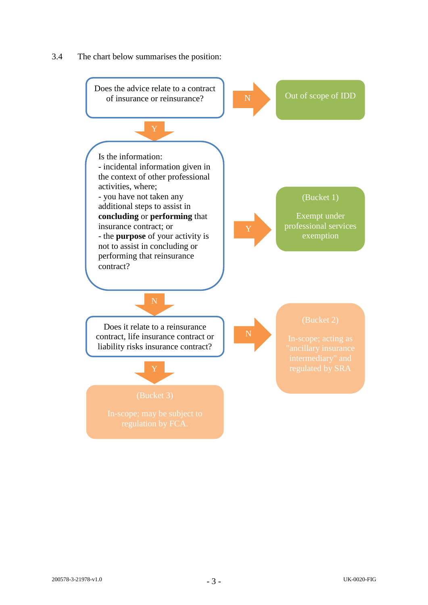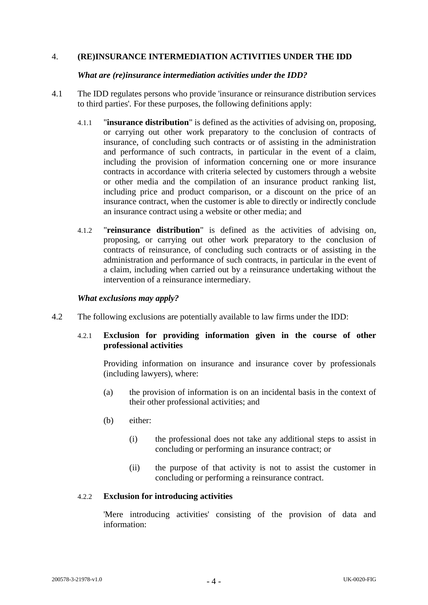#### 4. **(RE)INSURANCE INTERMEDIATION ACTIVITIES UNDER THE IDD**

#### *What are (re)insurance intermediation activities under the IDD?*

- 4.1 The IDD regulates persons who provide 'insurance or reinsurance distribution services to third parties'. For these purposes, the following definitions apply:
	- 4.1.1 "**insurance distribution**" is defined as the activities of advising on, proposing, or carrying out other work preparatory to the conclusion of contracts of insurance, of concluding such contracts or of assisting in the administration and performance of such contracts, in particular in the event of a claim, including the provision of information concerning one or more insurance contracts in accordance with criteria selected by customers through a website or other media and the compilation of an insurance product ranking list, including price and product comparison, or a discount on the price of an insurance contract, when the customer is able to directly or indirectly conclude an insurance contract using a website or other media; and
	- 4.1.2 "**reinsurance distribution**" is defined as the activities of advising on, proposing, or carrying out other work preparatory to the conclusion of contracts of reinsurance, of concluding such contracts or of assisting in the administration and performance of such contracts, in particular in the event of a claim, including when carried out by a reinsurance undertaking without the intervention of a reinsurance intermediary.

#### *What exclusions may apply?*

<span id="page-3-0"></span>4.2 The following exclusions are potentially available to law firms under the IDD:

### 4.2.1 **Exclusion for providing information given in the course of other professional activities**

Providing information on insurance and insurance cover by professionals (including lawyers), where:

- (a) the provision of information is on an incidental basis in the context of their other professional activities; and
- (b) either:
	- (i) the professional does not take any additional steps to assist in concluding or performing an insurance contract; or
	- (ii) the purpose of that activity is not to assist the customer in concluding or performing a reinsurance contract.

#### 4.2.2 **Exclusion for introducing activities**

'Mere introducing activities' consisting of the provision of data and information: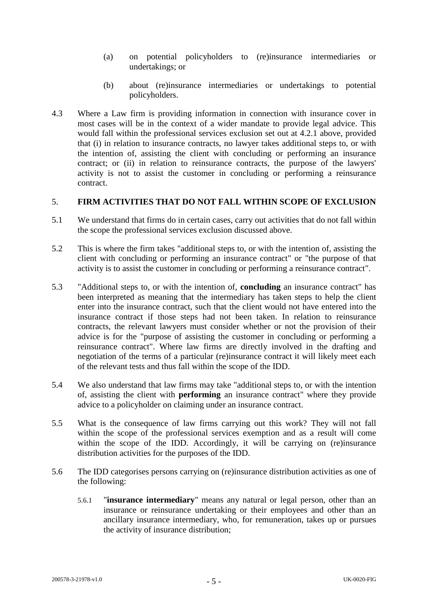- (a) on potential policyholders to (re)insurance intermediaries or undertakings; or
- (b) about (re)insurance intermediaries or undertakings to potential policyholders.
- 4.3 Where a Law firm is providing information in connection with insurance cover in most cases will be in the context of a wider mandate to provide legal advice. This would fall within the professional services exclusion set out at [4.2.1](#page-3-0) above, provided that (i) in relation to insurance contracts, no lawyer takes additional steps to, or with the intention of, assisting the client with concluding or performing an insurance contract; or (ii) in relation to reinsurance contracts, the purpose of the lawyers' activity is not to assist the customer in concluding or performing a reinsurance contract.

# 5. **FIRM ACTIVITIES THAT DO NOT FALL WITHIN SCOPE OF EXCLUSION**

- 5.1 We understand that firms do in certain cases, carry out activities that do not fall within the scope the professional services exclusion discussed above.
- 5.2 This is where the firm takes "additional steps to, or with the intention of, assisting the client with concluding or performing an insurance contract" or "the purpose of that activity is to assist the customer in concluding or performing a reinsurance contract".
- 5.3 "Additional steps to, or with the intention of, **concluding** an insurance contract" has been interpreted as meaning that the intermediary has taken steps to help the client enter into the insurance contract, such that the client would not have entered into the insurance contract if those steps had not been taken. In relation to reinsurance contracts, the relevant lawyers must consider whether or not the provision of their advice is for the "purpose of assisting the customer in concluding or performing a reinsurance contract". Where law firms are directly involved in the drafting and negotiation of the terms of a particular (re)insurance contract it will likely meet each of the relevant tests and thus fall within the scope of the IDD.
- 5.4 We also understand that law firms may take "additional steps to, or with the intention of, assisting the client with **performing** an insurance contract" where they provide advice to a policyholder on claiming under an insurance contract.
- 5.5 What is the consequence of law firms carrying out this work? They will not fall within the scope of the professional services exemption and as a result will come within the scope of the IDD. Accordingly, it will be carrying on (re)insurance distribution activities for the purposes of the IDD.
- 5.6 The IDD categorises persons carrying on (re)insurance distribution activities as one of the following:
	- 5.6.1 "**insurance intermediary**" means any natural or legal person, other than an insurance or reinsurance undertaking or their employees and other than an ancillary insurance intermediary, who, for remuneration, takes up or pursues the activity of insurance distribution;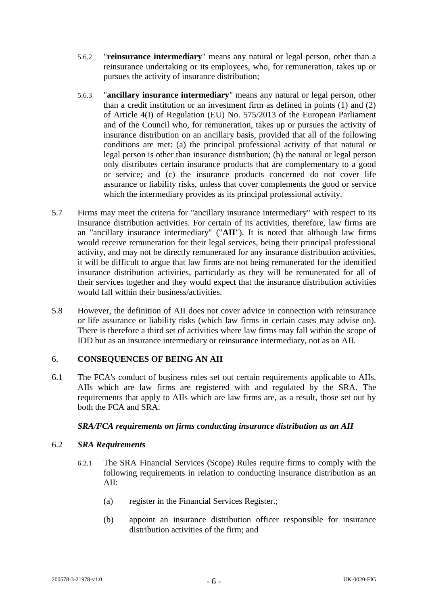- 5.6.2 "**reinsurance intermediary**" means any natural or legal person, other than a reinsurance undertaking or its employees, who, for remuneration, takes up or pursues the activity of insurance distribution;
- 5.6.3 "**ancillary insurance intermediary**" means any natural or legal person, other than a credit institution or an investment firm as defined in points (1) and (2) of Article 4(I) of Regulation (EU) No. 575/2013 of the European Parliament and of the Council who, for remuneration, takes up or pursues the activity of insurance distribution on an ancillary basis, provided that all of the following conditions are met: (a) the principal professional activity of that natural or legal person is other than insurance distribution; (b) the natural or legal person only distributes certain insurance products that are complementary to a good or service; and (c) the insurance products concerned do not cover life assurance or liability risks, unless that cover complements the good or service which the intermediary provides as its principal professional activity.
- 5.7 Firms may meet the criteria for "ancillary insurance intermediary" with respect to its insurance distribution activities. For certain of its activities, therefore, law firms are an "ancillary insurance intermediary" ("**AII**"). It is noted that although law firms would receive remuneration for their legal services, being their principal professional activity, and may not be directly remunerated for any insurance distribution activities, it will be difficult to argue that law firms are not being remunerated for the identified insurance distribution activities, particularly as they will be remunerated for all of their services together and they would expect that the insurance distribution activities would fall within their business/activities.
- 5.8 However, the definition of AII does not cover advice in connection with reinsurance or life assurance or liability risks (which law firms in certain cases may advise on). There is therefore a third set of activities where law firms may fall within the scope of IDD but as an insurance intermediary or reinsurance intermediary, not as an AII.

# 6. **CONSEQUENCES OF BEING AN AII**

6.1 The FCA's conduct of business rules set out certain requirements applicable to AIIs. AIIs which are law firms are registered with and regulated by the SRA. The requirements that apply to AIIs which are law firms are, as a result, those set out by both the FCA and SRA.

#### *SRA/FCA requirements on firms conducting insurance distribution as an AII*

### 6.2 *SRA Requirements*

- 6.2.1 The SRA Financial Services (Scope) Rules require firms to comply with the following requirements in relation to conducting insurance distribution as an  $AII$ 
	- (a) register in the Financial Services Register.;
	- (b) appoint an insurance distribution officer responsible for insurance distribution activities of the firm; and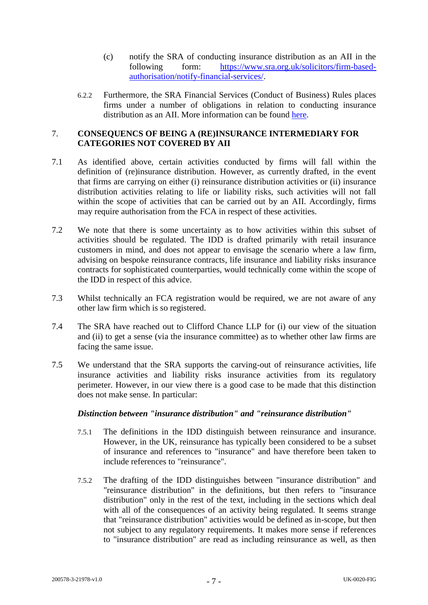- (c) notify the SRA of conducting insurance distribution as an AII in the following form: [https://www.sra.org.uk/solicitors/firm-based](https://www.sra.org.uk/solicitors/firm-based-authorisation/notify-financial-services/)[authorisation/notify-financial-services/.](https://www.sra.org.uk/solicitors/firm-based-authorisation/notify-financial-services/)
- 6.2.2 Furthermore, the SRA Financial Services (Conduct of Business) Rules places firms under a number of obligations in relation to conducting insurance distribution as an AII. More information can be found [here.](https://www.sra.org.uk/solicitors/standards-regulations/financial-services-conduct-business-rules/)

### <span id="page-6-0"></span>7. **CONSEQUENCS OF BEING A (RE)INSURANCE INTERMEDIARY FOR CATEGORIES NOT COVERED BY AII**

- 7.1 As identified above, certain activities conducted by firms will fall within the definition of (re)insurance distribution. However, as currently drafted, in the event that firms are carrying on either (i) reinsurance distribution activities or (ii) insurance distribution activities relating to life or liability risks, such activities will not fall within the scope of activities that can be carried out by an AII. Accordingly, firms may require authorisation from the FCA in respect of these activities.
- 7.2 We note that there is some uncertainty as to how activities within this subset of activities should be regulated. The IDD is drafted primarily with retail insurance customers in mind, and does not appear to envisage the scenario where a law firm, advising on bespoke reinsurance contracts, life insurance and liability risks insurance contracts for sophisticated counterparties, would technically come within the scope of the IDD in respect of this advice.
- 7.3 Whilst technically an FCA registration would be required, we are not aware of any other law firm which is so registered.
- 7.4 The SRA have reached out to Clifford Chance LLP for (i) our view of the situation and (ii) to get a sense (via the insurance committee) as to whether other law firms are facing the same issue.
- 7.5 We understand that the SRA supports the carving-out of reinsurance activities, life insurance activities and liability risks insurance activities from its regulatory perimeter. However, in our view there is a good case to be made that this distinction does not make sense. In particular:

# *Distinction between "insurance distribution" and "reinsurance distribution"*

- 7.5.1 The definitions in the IDD distinguish between reinsurance and insurance. However, in the UK, reinsurance has typically been considered to be a subset of insurance and references to "insurance" and have therefore been taken to include references to "reinsurance".
- 7.5.2 The drafting of the IDD distinguishes between "insurance distribution" and "reinsurance distribution" in the definitions, but then refers to "insurance distribution" only in the rest of the text, including in the sections which deal with all of the consequences of an activity being regulated. It seems strange that "reinsurance distribution" activities would be defined as in-scope, but then not subject to any regulatory requirements. It makes more sense if references to "insurance distribution" are read as including reinsurance as well, as then